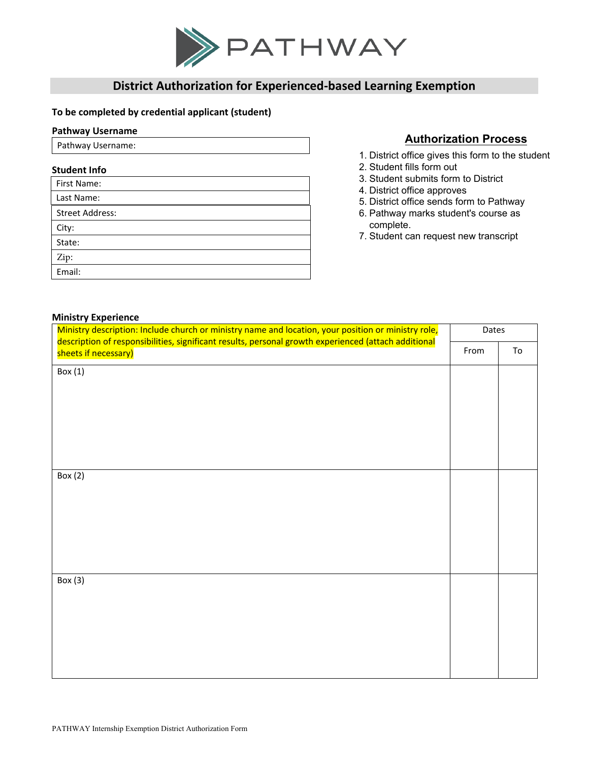

# **District Authorization for Experienced-based Learning Exemption**

### **To be completed by credential applicant (student)**

#### **Pathway Username**

Pathway Username:

**Ministry Experience**

### **Student Info**

| First Name:            |
|------------------------|
| Last Name:             |
| <b>Street Address:</b> |
| City:                  |
| State:                 |
| Zip:                   |
| Email:                 |

## **Authorization Process**

- 1. District office gives this form to the student
- 2. Student fills form out
- 3. Student submits form to District
- 4. District office approves
- 5. District office sends form to Pathway
- 6. Pathway marks student's course as complete.
- 7. Student can request new transcript

| <b>INITION &amp; EVALUATION</b><br>Ministry description: Include church or ministry name and location, your position or ministry role, |      |       |  |
|----------------------------------------------------------------------------------------------------------------------------------------|------|-------|--|
| description of responsibilities, significant results, personal growth experienced (attach additional                                   |      | Dates |  |
| sheets if necessary)                                                                                                                   | From | To    |  |
| Box (1)                                                                                                                                |      |       |  |
|                                                                                                                                        |      |       |  |
|                                                                                                                                        |      |       |  |
|                                                                                                                                        |      |       |  |
|                                                                                                                                        |      |       |  |
|                                                                                                                                        |      |       |  |
|                                                                                                                                        |      |       |  |
|                                                                                                                                        |      |       |  |
| Box $(2)$                                                                                                                              |      |       |  |
|                                                                                                                                        |      |       |  |
|                                                                                                                                        |      |       |  |
|                                                                                                                                        |      |       |  |
|                                                                                                                                        |      |       |  |
|                                                                                                                                        |      |       |  |
|                                                                                                                                        |      |       |  |
| Box $(3)$                                                                                                                              |      |       |  |
|                                                                                                                                        |      |       |  |
|                                                                                                                                        |      |       |  |
|                                                                                                                                        |      |       |  |
|                                                                                                                                        |      |       |  |
|                                                                                                                                        |      |       |  |
|                                                                                                                                        |      |       |  |
|                                                                                                                                        |      |       |  |
|                                                                                                                                        |      |       |  |